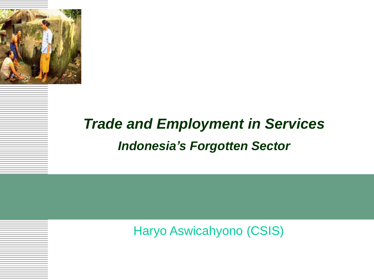

#### *Trade and Employment in Services Indonesia's Forgotten Sector*

Haryo Aswicahyono (CSIS)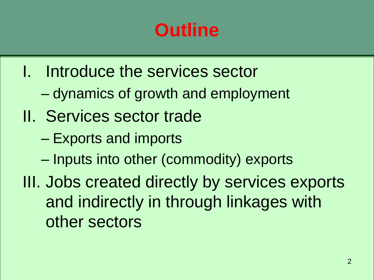# **Outline**

- I. Introduce the services sector
	- dynamics of growth and employment
- II. Services sector trade
	- Exports and imports
	- Inputs into other (commodity) exports
- III. Jobs created directly by services exports and indirectly in through linkages with other sectors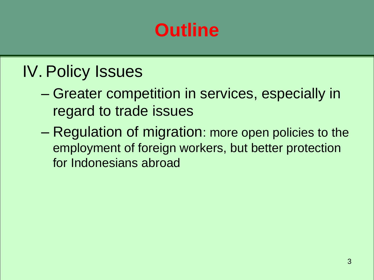# **Outline**

#### IV. Policy Issues

- Greater competition in services, especially in regard to trade issues
- Regulation of migration: more open policies to the employment of foreign workers, but better protection for Indonesians abroad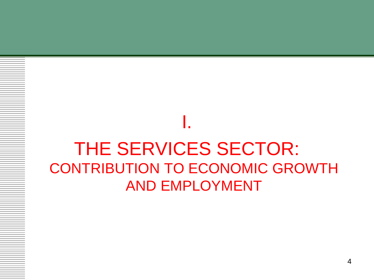### THE SERVICES SECTOR: CONTRIBUTION TO ECONOMIC GROWTH AND EMPLOYMENT

I.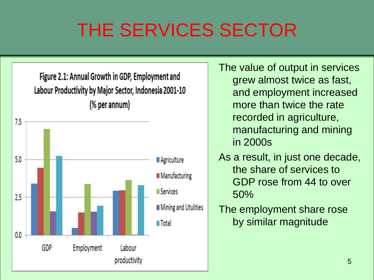# THE SERVICES SECTOR



The value of output in services grew almost twice as fast, and employment increased more than twice the rate recorded in agriculture, manufacturing and mining in 2000s

- As a result, in just one decade, the share of services to GDP rose from 44 to over 50%
- The employment share rose by similar magnitude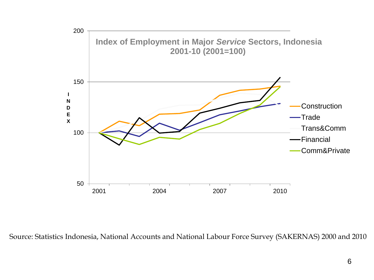

Source: Statistics Indonesia, National Accounts and National Labour Force Survey (SAKERNAS) 2000 and 2010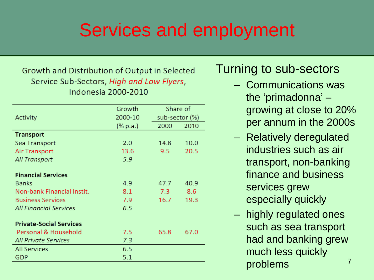### Services and employment

#### Growth and Distribution of Output in Selected Service Sub-Sectors, High and Low Flyers, **Indonesia 2000-2010**

|                                | Growth   | Share of<br>sub-sector (%) |      |
|--------------------------------|----------|----------------------------|------|
| Activity                       | 2000-10  |                            |      |
|                                | (% p.a.) | 2000                       | 2010 |
| <b>Transport</b>               |          |                            |      |
| Sea Transport                  | 2.0      | 14.8                       | 10.0 |
| Air Transport                  | 13.6     | 9.5                        | 20.5 |
| All Transport                  | 5.9      |                            |      |
| <b>Financial Services</b>      |          |                            |      |
| <b>Banks</b>                   | 4.9      | 47.7                       | 40.9 |
| Non-bank Financial Instit.     | 8.1      | 7.3                        | 8.6  |
| <b>Business Services</b>       | 7.9      | 16.7                       | 19.3 |
| <b>All Financial Services</b>  | 6.5      |                            |      |
| <b>Private-Social Services</b> |          |                            |      |
| Personal & Household           | 7.5      | 65.8                       | 67.0 |
| <b>All Private Services</b>    | 7.3      |                            |      |
| <b>All Services</b>            | 6.5      |                            |      |
| GDP                            | 5.1      |                            |      |

#### Turning to sub-sectors

- Communications was the 'primadonna' – growing at close to 20% per annum in the 2000s
- Relatively deregulated industries such as air transport, non-banking finance and business services grew especially quickly
- highly regulated ones such as sea transport had and banking grew much less quickly problems 7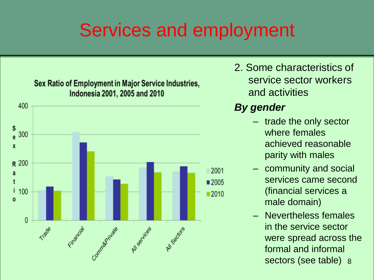## Services and employment



2. Some characteristics of service sector workers and activities

#### *By gender*

- trade the only sector where females achieved reasonable parity with males
- community and social services came second (financial services a male domain)
- Nevertheless females in the service sector were spread across the formal and informal sectors (see table) 8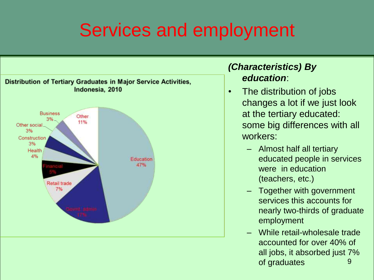## Services and employment



#### *(Characteristics) By education*:

- The distribution of jobs changes a lot if we just look at the tertiary educated: some big differences with all workers:
	- Almost half all tertiary educated people in services were in education (teachers, etc.)
	- Together with government services this accounts for nearly two-thirds of graduate employment
	- While retail-wholesale trade accounted for over 40% of all jobs, it absorbed just 7% of graduates and 9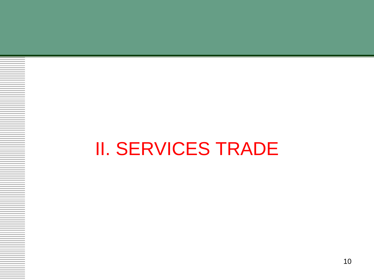# II. SERVICES TRADE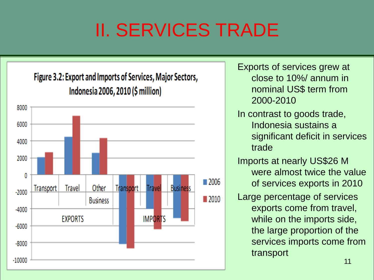# II. SERVICES TRADE



Exports of services grew at close to 10%/ annum in nominal US\$ term from 2000-2010 In contrast to goods trade, Indonesia sustains a significant deficit in services trade Imports at nearly US\$26 M were almost twice the value of services exports in 2010 Large percentage of services exports come from travel, while on the imports side, the large proportion of the services imports come from transport 11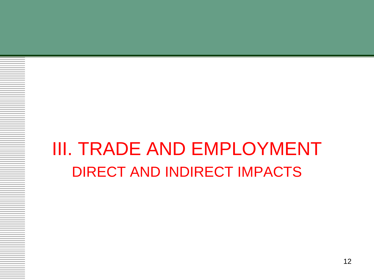### III. TRADE AND EMPLOYMENT DIRECT AND INDIRECT IMPACTS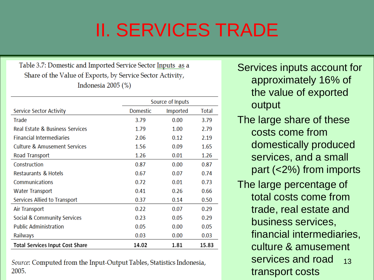# II. SERVICES TRADE

Table 3.7: Domestic and Imported Service Sector Inputs as a Share of the Value of Exports, by Service Sector Activity, Indonesia  $2005$   $(\%)$ 

|                                 | Source of Inputs |          |       |
|---------------------------------|------------------|----------|-------|
| Service Sector Activity         | Domestic         | Imported | Total |
| Trade                           | 3.79             | 0.00     | 3.79  |
| Real Estate & Business Services | 1.79             | 1.00     | 2.79  |
| <b>Financial Intermediaries</b> | 2.06             | 0.12     | 2.19  |
| Culture & Amusement Services    | 1.56             | 0.09     | 1.65  |
| Road Transport                  | 1.26             | 0.01     | 1.26  |
| Construction                    | 0.87             | 0.00     | 0.87  |
| <b>Restaurants &amp; Hotels</b> | 0.67             | 0.07     | 0.74  |
| Communications                  | 0.72             | 0.01     | 0.73  |
| <b>Water Transport</b>          | 0.41             | 0.26     | 0.66  |
| Services Allied to Transport    | 0.37             | 0.14     | 0.50  |
| Air Transport                   | 0.22             | 0.07     | 0.29  |
| Social & Community Services     | 0.23             | 0.05     | 0.29  |
| <b>Public Administration</b>    | 0.05             | 0.00     | 0.05  |
| Railways                        | 0.03             | 0.00     | 0.03  |
| Total Services Input Cost Share | 14.02            | 1.81     | 15.83 |

Source: Computed from the Input-Output Tables, Statistics Indonesia, 2005.

Services inputs account for approximately 16% of the value of exported output

- The large share of these costs come from domestically produced services, and a small part (<2%) from imports
- 13 The large percentage of total costs come from trade, real estate and business services, financial intermediaries, culture & amusement services and road transport costs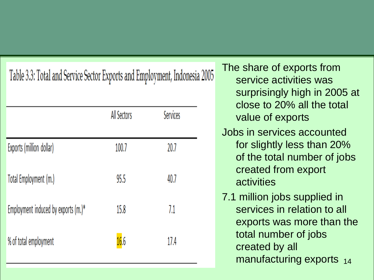|  | Table 3.3: Total and Service Sector Exports and Employment, Indonesia 2005 |
|--|----------------------------------------------------------------------------|

|                                     | All Sectors | Services |
|-------------------------------------|-------------|----------|
| Exports (million dollar)            | 100.7       | 20.7     |
| Total Employment (m.)               | 95.5        | 40.7     |
| Employment induced by exports (m.)* | 15.8        | 7.1      |
| % of total employment               | 16.6        | 17.4     |

The share of exports from service activities was surprisingly high in 2005 at close to 20% all the total value of exports Jobs in services accounted for slightly less than 20% of the total number of jobs created from export activities 7.1 million jobs supplied in

services in relation to all exports was more than the total number of jobs created by all manufacturing exports 14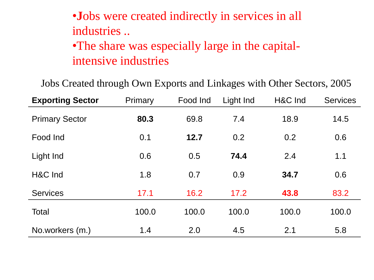#### •**J**obs were created indirectly in services in all industries ..

•The share was especially large in the capitalintensive industries

Jobs Created through Own Exports and Linkages with Other Sectors, 2005

| <b>Exporting Sector</b> | Primary | Food Ind | Light Ind | H&C Ind | <b>Services</b> |
|-------------------------|---------|----------|-----------|---------|-----------------|
| <b>Primary Sector</b>   | 80.3    | 69.8     | 7.4       | 18.9    | 14.5            |
| Food Ind                | 0.1     | 12.7     | 0.2       | 0.2     | 0.6             |
| Light Ind               | 0.6     | 0.5      | 74.4      | 2.4     | 1.1             |
| H&C Ind                 | 1.8     | 0.7      | 0.9       | 34.7    | 0.6             |
| <b>Services</b>         | 17.1    | 16.2     | 17.2      | 43.8    | 83.2            |
| Total                   | 100.0   | 100.0    | 100.0     | 100.0   | 100.0           |
| No.workers (m.)         | 1.4     | 2.0      | 4.5       | 2.1     | 5.8             |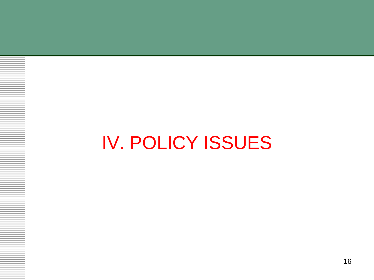# IV. POLICY ISSUES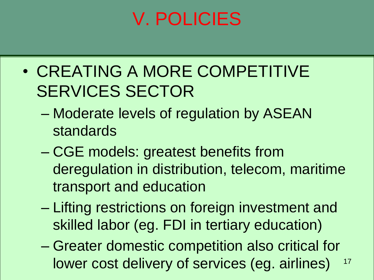# V. POLICIES

- CREATING A MORE COMPETITIVE SERVICES SECTOR
	- Moderate levels of regulation by ASEAN standards
	- CGE models: greatest benefits from deregulation in distribution, telecom, maritime transport and education
	- Lifting restrictions on foreign investment and skilled labor (eg. FDI in tertiary education)
	- Greater domestic competition also critical for lower cost delivery of services (eg. airlines) 17